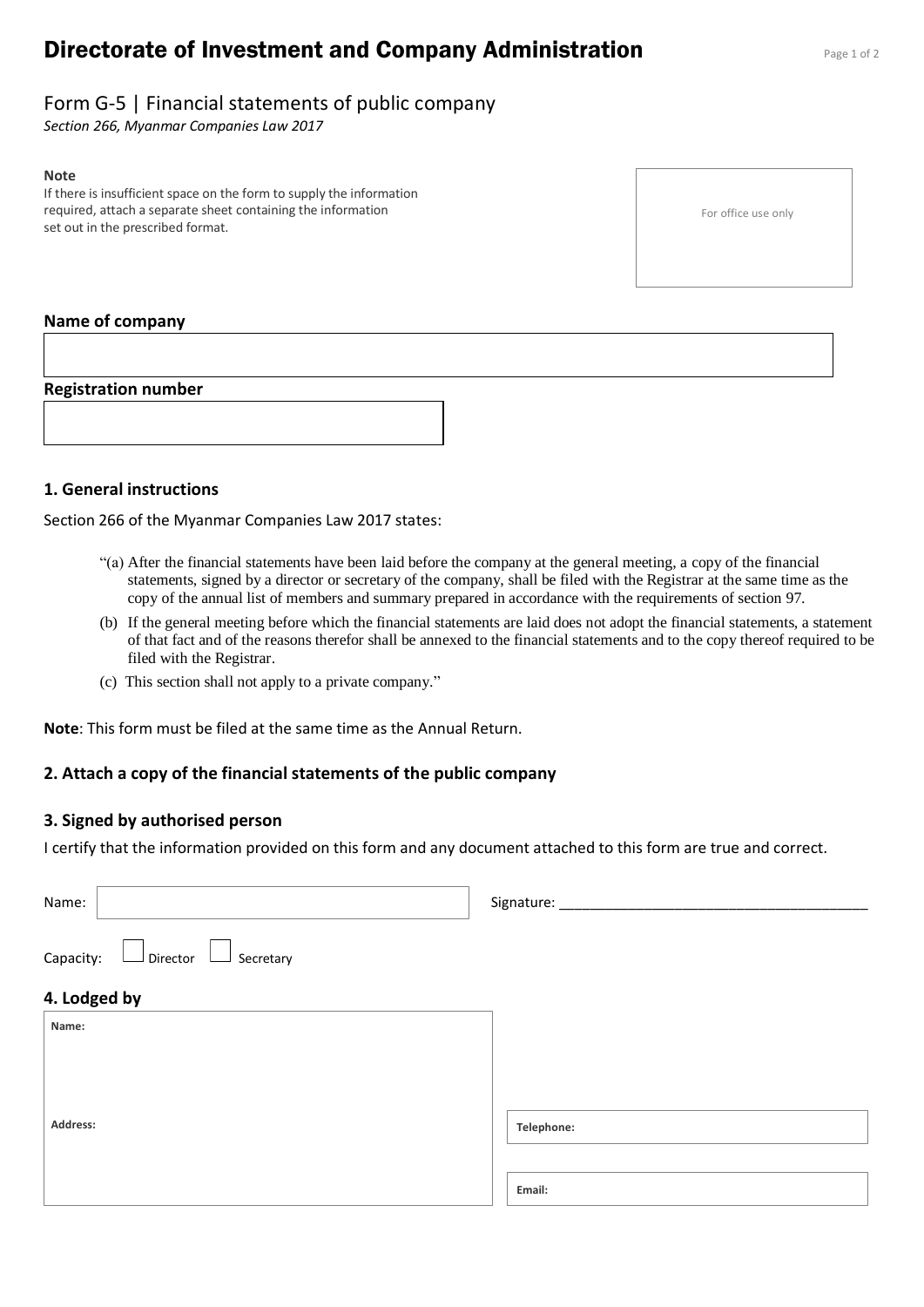# **Directorate of Investment and Company Administration** Page 1 of 2

## Form G-5 | Financial statements of public company

*Section 266, Myanmar Companies Law 2017*

#### **Note**

If there is insufficient space on the form to supply the information required, attach a separate sheet containing the information set out in the prescribed format.

For office use only

### **Name of company**

#### **Registration number**



#### **1. General instructions**

Section 266 of the Myanmar Companies Law 2017 states:

- "(a) After the financial statements have been laid before the company at the general meeting, a copy of the financial statements, signed by a director or secretary of the company, shall be filed with the Registrar at the same time as the copy of the annual list of members and summary prepared in accordance with the requirements of section 97.
- (b) If the general meeting before which the financial statements are laid does not adopt the financial statements, a statement of that fact and of the reasons therefor shall be annexed to the financial statements and to the copy thereof required to be filed with the Registrar.
- (c) This section shall not apply to a private company."

**Note**: This form must be filed at the same time as the Annual Return.

#### **2. Attach a copy of the financial statements of the public company**

### **3. Signed by authorised person**

I certify that the information provided on this form and any document attached to this form are true and correct.

| Name:                                                                                                     | Signature: |
|-----------------------------------------------------------------------------------------------------------|------------|
| Capacity:<br>$\mathrel{\mathop{\rule{.15pt}{\text{\rule{.15pt}{0.15pt}}}\nolimits}$ Director<br>Secretary |            |
| 4. Lodged by                                                                                              |            |
| Name:                                                                                                     |            |
|                                                                                                           |            |
|                                                                                                           |            |
| Address:                                                                                                  | Telephone: |
|                                                                                                           |            |
|                                                                                                           | Email:     |